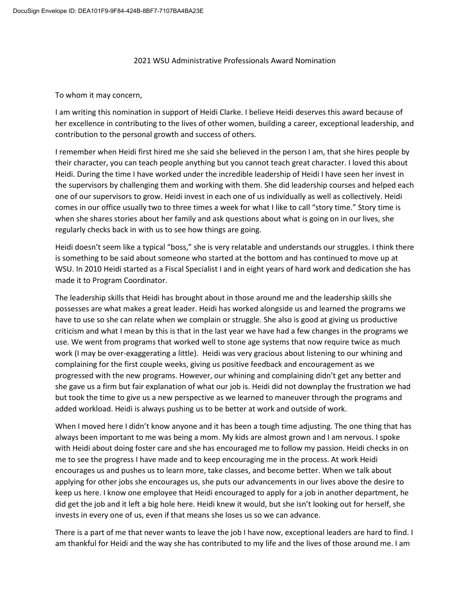## 2021 WSU Administrative Professionals Award Nomination

## To whom it may concern,

I am writing this nomination in support of Heidi Clarke. I believe Heidi deserves this award because of her excellence in contributing to the lives of other women, building a career, exceptional leadership, and contribution to the personal growth and success of others.

I remember when Heidi first hired me she said she believed in the person I am, that she hires people by their character, you can teach people anything but you cannot teach great character. I loved this about Heidi. During the time I have worked under the incredible leadership of Heidi I have seen her invest in the supervisors by challenging them and working with them. She did leadership courses and helped each one of our supervisors to grow. Heidi invest in each one of us individually as well as collectively. Heidi comes in our office usually two to three times a week for what I like to call "story time." Story time is when she shares stories about her family and ask questions about what is going on in our lives, she regularly checks back in with us to see how things are going.

Heidi doesn't seem like a typical "boss," she is very relatable and understands our struggles. I think there is something to be said about someone who started at the bottom and has continued to move up at WSU. In 2010 Heidi started as a Fiscal Specialist I and in eight years of hard work and dedication she has made it to Program Coordinator.

The leadership skills that Heidi has brought about in those around me and the leadership skills she possesses are what makes a great leader. Heidi has worked alongside us and learned the programs we have to use so she can relate when we complain or struggle. She also is good at giving us productive criticism and what I mean by this is that in the last year we have had a few changes in the programs we use. We went from programs that worked well to stone age systems that now require twice as much work (I may be over-exaggerating a little). Heidi was very gracious about listening to our whining and complaining for the first couple weeks, giving us positive feedback and encouragement as we progressed with the new programs. However, our whining and complaining didn't get any better and she gave us a firm but fair explanation of what our job is. Heidi did not downplay the frustration we had but took the time to give us a new perspective as we learned to maneuver through the programs and added workload. Heidi is always pushing us to be better at work and outside of work.

When I moved here I didn't know anyone and it has been a tough time adjusting. The one thing that has always been important to me was being a mom. My kids are almost grown and I am nervous. I spoke with Heidi about doing foster care and she has encouraged me to follow my passion. Heidi checks in on me to see the progress I have made and to keep encouraging me in the process. At work Heidi encourages us and pushes us to learn more, take classes, and become better. When we talk about applying for other jobs she encourages us, she puts our advancements in our lives above the desire to keep us here. I know one employee that Heidi encouraged to apply for a job in another department, he did get the job and it left a big hole here. Heidi knew it would, but she isn't looking out for herself, she invests in every one of us, even if that means she loses us so we can advance.

There is a part of me that never wants to leave the job I have now, exceptional leaders are hard to find. I am thankful for Heidi and the way she has contributed to my life and the lives of those around me. I am